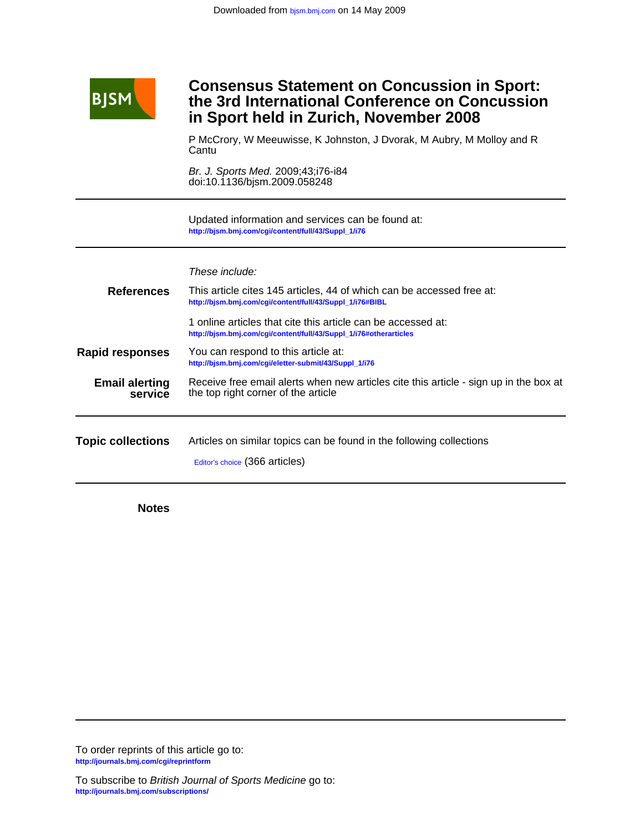

# **in Sport held in Zurich, November 2008 the 3rd International Conference on Concussion Consensus Statement on Concussion in Sport:**

**Cantu** P McCrory, W Meeuwisse, K Johnston, J Dvorak, M Aubry, M Molloy and R

doi:10.1136/bjsm.2009.058248 Br. J. Sports Med. 2009;43;i76-i84

**[http://bjsm.bmj.com/cgi/content/full/43/Suppl\\_1/i76](http://bjsm.bmj.com/cgi/content/full/43/Suppl_1/i76)** Updated information and services can be found at:

| These include: |  |
|----------------|--|
|                |  |

| <b>References</b>                | This article cites 145 articles, 44 of which can be accessed free at:<br>http://bjsm.bmj.com/cqi/content/full/43/Suppl 1/i76#BIBL |
|----------------------------------|-----------------------------------------------------------------------------------------------------------------------------------|
|                                  | 1 online articles that cite this article can be accessed at:<br>http://bism.bmj.com/cqi/content/full/43/Suppl 1/i76#otherarticles |
| <b>Rapid responses</b>           | You can respond to this article at:<br>http://bjsm.bmj.com/cgi/eletter-submit/43/Suppl_1/i76                                      |
| <b>Email alerting</b><br>service | Receive free email alerts when new articles cite this article - sign up in the box at<br>the top right corner of the article      |
| <b>Topic collections</b>         | Articles on similar topics can be found in the following collections<br>Editor's choice (366 articles)                            |

**Notes**

**<http://journals.bmj.com/cgi/reprintform>** To order reprints of this article go to: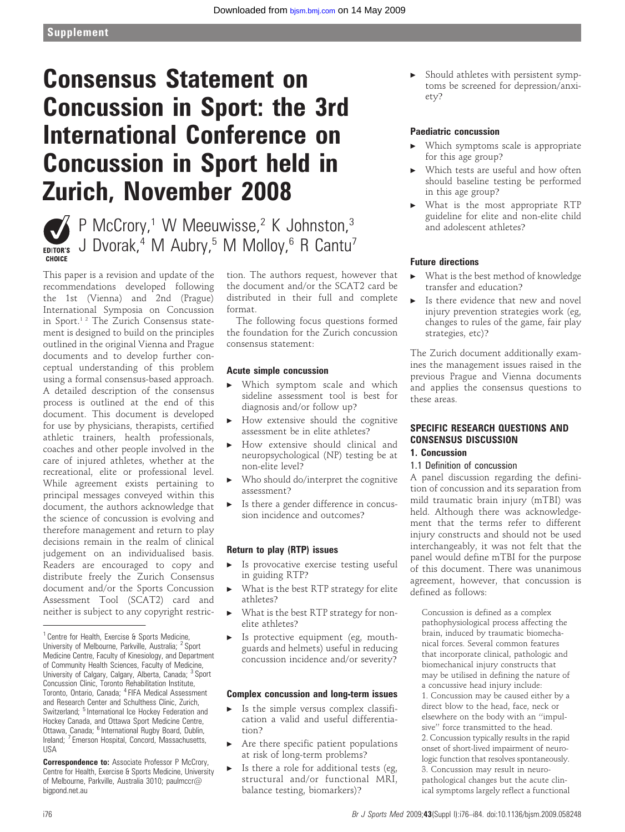# Consensus Statement on Concussion in Sport: the 3rd International Conference on Concussion in Sport held in Zurich, November 2008

CHOICE

P McCrory,<sup>1</sup> W Meeuwisse,<sup>2</sup> K Johnston,<sup>3</sup> EDITOR'S J DVOrak,<sup>4</sup> M Aubry,<sup>5</sup> M Molloy,<sup>6</sup> R Cantu<sup>7</sup>

This paper is a revision and update of the recommendations developed following the 1st (Vienna) and 2nd (Prague) International Symposia on Concussion in Sport.<sup>12</sup> The Zurich Consensus statement is designed to build on the principles outlined in the original Vienna and Prague documents and to develop further conceptual understanding of this problem using a formal consensus-based approach. A detailed description of the consensus process is outlined at the end of this document. This document is developed for use by physicians, therapists, certified athletic trainers, health professionals, coaches and other people involved in the care of injured athletes, whether at the recreational, elite or professional level. While agreement exists pertaining to principal messages conveyed within this document, the authors acknowledge that the science of concussion is evolving and therefore management and return to play decisions remain in the realm of clinical judgement on an individualised basis. Readers are encouraged to copy and distribute freely the Zurich Consensus document and/or the Sports Concussion Assessment Tool (SCAT2) card and neither is subject to any copyright restric-

tion. The authors request, however that the document and/or the SCAT2 card be distributed in their full and complete format.

The following focus questions formed the foundation for the Zurich concussion consensus statement:

#### Acute simple concussion

- $\blacktriangleright$  Which symptom scale and which sideline assessment tool is best for diagnosis and/or follow up?
- How extensive should the cognitive assessment be in elite athletes?
- How extensive should clinical and neuropsychological (NP) testing be at non-elite level?
- Who should do/interpret the cognitive assessment?
- Is there a gender difference in concussion incidence and outcomes?

#### Return to play (RTP) issues

- $\blacktriangleright$  Is provocative exercise testing useful in guiding RTP?
- $\blacktriangleright$  What is the best RTP strategy for elite athletes?
- What is the best RTP strategy for nonelite athletes?
- $\blacktriangleright$  Is protective equipment (eg, mouthguards and helmets) useful in reducing concussion incidence and/or severity?

#### Complex concussion and long-term issues

- Is the simple versus complex classification a valid and useful differentiation?
- $\blacktriangleright$  Are there specific patient populations at risk of long-term problems?
- Is there a role for additional tests (eg, structural and/or functional MRI, balance testing, biomarkers)?

Should athletes with persistent symptoms be screened for depression/anxiety?

# Paediatric concussion

- Which symptoms scale is appropriate for this age group?
- Which tests are useful and how often should baseline testing be performed in this age group?
- $\blacktriangleright$  What is the most appropriate RTP guideline for elite and non-elite child and adolescent athletes?

#### Future directions

- What is the best method of knowledge transfer and education?
- Is there evidence that new and novel injury prevention strategies work (eg, changes to rules of the game, fair play strategies, etc)?

The Zurich document additionally examines the management issues raised in the previous Prague and Vienna documents and applies the consensus questions to these areas.

#### SPECIFIC RESEARCH QUESTIONS AND CONSENSUS DISCUSSION

# 1. Concussion

#### 1.1 Definition of concussion

A panel discussion regarding the definition of concussion and its separation from mild traumatic brain injury (mTBI) was held. Although there was acknowledgement that the terms refer to different injury constructs and should not be used interchangeably, it was not felt that the panel would define mTBI for the purpose of this document. There was unanimous agreement, however, that concussion is defined as follows:

Concussion is defined as a complex pathophysiological process affecting the brain, induced by traumatic biomechanical forces. Several common features that incorporate clinical, pathologic and biomechanical injury constructs that may be utilised in defining the nature of a concussive head injury include: 1. Concussion may be caused either by a direct blow to the head, face, neck or elsewhere on the body with an ''impulsive'' force transmitted to the head. 2. Concussion typically results in the rapid onset of short-lived impairment of neurologic function that resolves spontaneously. 3. Concussion may result in neuropathological changes but the acute clinical symptoms largely reflect a functional

<sup>&</sup>lt;sup>1</sup> Centre for Health, Exercise & Sports Medicine, University of Melbourne, Parkville, Australia; <sup>2</sup> Sport Medicine Centre, Faculty of Kinesiology, and Department of Community Health Sciences, Faculty of Medicine, University of Calgary, Calgary, Alberta, Canada; <sup>3</sup> Sport Concussion Clinic, Toronto Rehabilitation Institute,<br>Toronto, Ontario, Canada; <sup>4</sup> FIFA Medical Assessment and Research Center and Schulthess Clinic, Zurich, Switzerland; <sup>5</sup> International Ice Hockey Federation and Hockey Canada, and Ottawa Sport Medicine Centre, Ottawa, Canada; <sup>6</sup> International Rugby Board, Dublin, Ireland; <sup>7</sup> Emerson Hospital, Concord, Massachusetts, USA

Correspondence to: Associate Professor P McCrory, Centre for Health, Exercise & Sports Medicine, University of Melbourne, Parkville, Australia 3010; paulmccr@ bigpond.net.au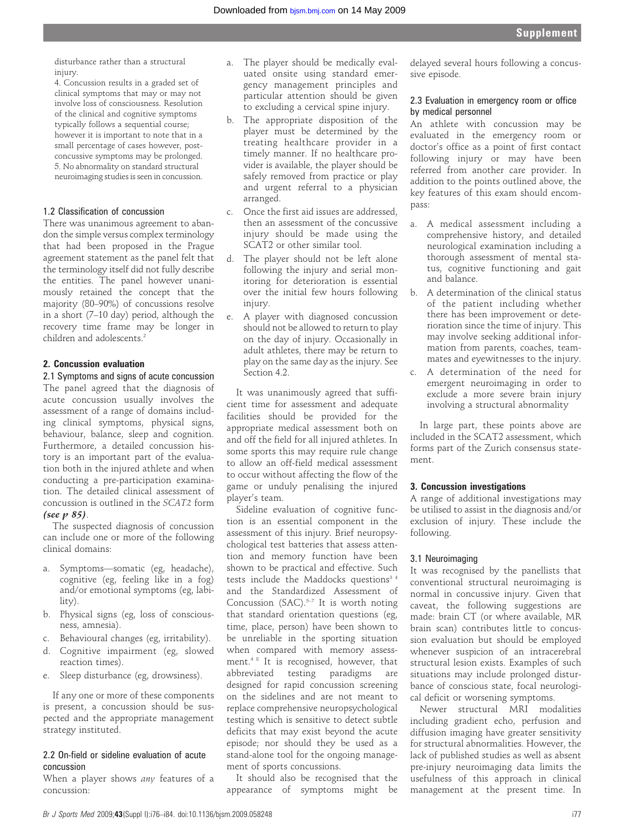disturbance rather than a structural injury.

4. Concussion results in a graded set of clinical symptoms that may or may not involve loss of consciousness. Resolution of the clinical and cognitive symptoms typically follows a sequential course; however it is important to note that in a small percentage of cases however, postconcussive symptoms may be prolonged. 5. No abnormality on standard structural neuroimaging studies is seen in concussion.

# 1.2 Classification of concussion

There was unanimous agreement to abandon the simple versus complex terminology that had been proposed in the Prague agreement statement as the panel felt that the terminology itself did not fully describe the entities. The panel however unanimously retained the concept that the majority (80–90%) of concussions resolve in a short (7–10 day) period, although the recovery time frame may be longer in children and adolescents.<sup>2</sup>

#### 2. Concussion evaluation

2.1 Symptoms and signs of acute concussion The panel agreed that the diagnosis of acute concussion usually involves the assessment of a range of domains including clinical symptoms, physical signs, behaviour, balance, sleep and cognition. Furthermore, a detailed concussion history is an important part of the evaluation both in the injured athlete and when conducting a pre-participation examination. The detailed clinical assessment of concussion is outlined in the SCAT2 form (see p 85).

The suspected diagnosis of concussion can include one or more of the following clinical domains:

- a. Symptoms—somatic (eg, headache), cognitive (eg, feeling like in a fog) and/or emotional symptoms (eg, lability).
- b. Physical signs (eg, loss of consciousness, amnesia).
- c. Behavioural changes (eg, irritability).
- d. Cognitive impairment (eg, slowed reaction times).
- e. Sleep disturbance (eg, drowsiness).

If any one or more of these components is present, a concussion should be suspected and the appropriate management strategy instituted.

# 2.2 On-field or sideline evaluation of acute concussion

When a player shows any features of a concussion:

- a. The player should be medically evaluated onsite using standard emergency management principles and particular attention should be given to excluding a cervical spine injury.
- b. The appropriate disposition of the player must be determined by the treating healthcare provider in a timely manner. If no healthcare provider is available, the player should be safely removed from practice or play and urgent referral to a physician arranged.
- c. Once the first aid issues are addressed, then an assessment of the concussive injury should be made using the SCAT2 or other similar tool.
- d. The player should not be left alone following the injury and serial monitoring for deterioration is essential over the initial few hours following injury.
- e. A player with diagnosed concussion should not be allowed to return to play on the day of injury. Occasionally in adult athletes, there may be return to play on the same day as the injury. See Section 4.2.

It was unanimously agreed that sufficient time for assessment and adequate facilities should be provided for the appropriate medical assessment both on and off the field for all injured athletes. In some sports this may require rule change to allow an off-field medical assessment to occur without affecting the flow of the game or unduly penalising the injured player's team.

Sideline evaluation of cognitive function is an essential component in the assessment of this injury. Brief neuropsychological test batteries that assess attention and memory function have been shown to be practical and effective. Such tests include the Maddocks questions<sup>34</sup> and the Standardized Assessment of Concussion (SAC).<sup>5-7</sup> It is worth noting that standard orientation questions (eg, time, place, person) have been shown to be unreliable in the sporting situation when compared with memory assessment.4 8 It is recognised, however, that abbreviated testing paradigms are designed for rapid concussion screening on the sidelines and are not meant to replace comprehensive neuropsychological testing which is sensitive to detect subtle deficits that may exist beyond the acute episode; nor should they be used as a stand-alone tool for the ongoing management of sports concussions.

It should also be recognised that the appearance of symptoms might be delayed several hours following a concussive episode.

# 2.3 Evaluation in emergency room or office by medical personnel

An athlete with concussion may be evaluated in the emergency room or doctor's office as a point of first contact following injury or may have been referred from another care provider. In addition to the points outlined above, the key features of this exam should encompass:

- a. A medical assessment including a comprehensive history, and detailed neurological examination including a thorough assessment of mental status, cognitive functioning and gait and balance.
- b. A determination of the clinical status of the patient including whether there has been improvement or deterioration since the time of injury. This may involve seeking additional information from parents, coaches, teammates and eyewitnesses to the injury.
- c. A determination of the need for emergent neuroimaging in order to exclude a more severe brain injury involving a structural abnormality

In large part, these points above are included in the SCAT2 assessment, which forms part of the Zurich consensus statement.

# 3. Concussion investigations

A range of additional investigations may be utilised to assist in the diagnosis and/or exclusion of injury. These include the following.

#### 3.1 Neuroimaging

It was recognised by the panellists that conventional structural neuroimaging is normal in concussive injury. Given that caveat, the following suggestions are made: brain CT (or where available, MR brain scan) contributes little to concussion evaluation but should be employed whenever suspicion of an intracerebral structural lesion exists. Examples of such situations may include prolonged disturbance of conscious state, focal neurological deficit or worsening symptoms.

Newer structural MRI modalities including gradient echo, perfusion and diffusion imaging have greater sensitivity for structural abnormalities. However, the lack of published studies as well as absent pre-injury neuroimaging data limits the usefulness of this approach in clinical management at the present time. In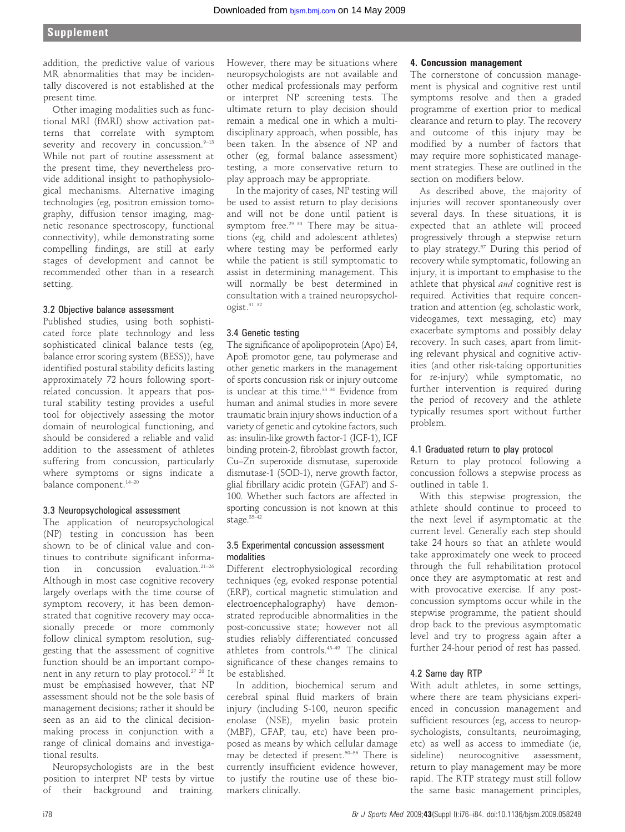addition, the predictive value of various MR abnormalities that may be incidentally discovered is not established at the present time.

Other imaging modalities such as functional MRI (fMRI) show activation patterns that correlate with symptom severity and recovery in concussion.<sup>9-13</sup> While not part of routine assessment at the present time, they nevertheless provide additional insight to pathophysiological mechanisms. Alternative imaging technologies (eg, positron emission tomography, diffusion tensor imaging, magnetic resonance spectroscopy, functional connectivity), while demonstrating some compelling findings, are still at early stages of development and cannot be recommended other than in a research setting.

#### 3.2 Objective balance assessment

Published studies, using both sophisticated force plate technology and less sophisticated clinical balance tests (eg, balance error scoring system (BESS)), have identified postural stability deficits lasting approximately 72 hours following sportrelated concussion. It appears that postural stability testing provides a useful tool for objectively assessing the motor domain of neurological functioning, and should be considered a reliable and valid addition to the assessment of athletes suffering from concussion, particularly where symptoms or signs indicate a balance component.<sup>14-20</sup>

#### 3.3 Neuropsychological assessment

The application of neuropsychological (NP) testing in concussion has been shown to be of clinical value and continues to contribute significant information in concussion evaluation.21–26 Although in most case cognitive recovery largely overlaps with the time course of symptom recovery, it has been demonstrated that cognitive recovery may occasionally precede or more commonly follow clinical symptom resolution, suggesting that the assessment of cognitive function should be an important component in any return to play protocol.27 28 It must be emphasised however, that NP assessment should not be the sole basis of management decisions; rather it should be seen as an aid to the clinical decisionmaking process in conjunction with a range of clinical domains and investigational results.

Neuropsychologists are in the best position to interpret NP tests by virtue of their background and training.

However, there may be situations where neuropsychologists are not available and other medical professionals may perform or interpret NP screening tests. The ultimate return to play decision should remain a medical one in which a multidisciplinary approach, when possible, has been taken. In the absence of NP and other (eg, formal balance assessment) testing, a more conservative return to play approach may be appropriate.

In the majority of cases, NP testing will be used to assist return to play decisions and will not be done until patient is symptom free.<sup>29 30</sup> There may be situations (eg, child and adolescent athletes) where testing may be performed early while the patient is still symptomatic to assist in determining management. This will normally be best determined in consultation with a trained neuropsychologist.<sup>31</sup> 32

#### 3.4 Genetic testing

The significance of apolipoprotein (Apo) E4, ApoE promotor gene, tau polymerase and other genetic markers in the management of sports concussion risk or injury outcome is unclear at this time.<sup>33 34</sup> Evidence from human and animal studies in more severe traumatic brain injury shows induction of a variety of genetic and cytokine factors, such as: insulin-like growth factor-1 (IGF-1), IGF binding protein-2, fibroblast growth factor, Cu–Zn superoxide dismutase, superoxide dismutase-1 (SOD-1), nerve growth factor, glial fibrillary acidic protein (GFAP) and S-100. Whether such factors are affected in sporting concussion is not known at this stage.35–42

#### 3.5 Experimental concussion assessment modalities

Different electrophysiological recording techniques (eg, evoked response potential (ERP), cortical magnetic stimulation and electroencephalography) have demonstrated reproducible abnormalities in the post-concussive state; however not all studies reliably differentiated concussed athletes from controls.43–49 The clinical significance of these changes remains to be established.

In addition, biochemical serum and cerebral spinal fluid markers of brain injury (including S-100, neuron specific enolase (NSE), myelin basic protein (MBP), GFAP, tau, etc) have been proposed as means by which cellular damage may be detected if present.<sup>50-56</sup> There is currently insufficient evidence however, to justify the routine use of these biomarkers clinically.

#### 4. Concussion management

The cornerstone of concussion management is physical and cognitive rest until symptoms resolve and then a graded programme of exertion prior to medical clearance and return to play. The recovery and outcome of this injury may be modified by a number of factors that may require more sophisticated management strategies. These are outlined in the section on modifiers below.

As described above, the majority of injuries will recover spontaneously over several days. In these situations, it is expected that an athlete will proceed progressively through a stepwise return to play strategy.57 During this period of recovery while symptomatic, following an injury, it is important to emphasise to the athlete that physical and cognitive rest is required. Activities that require concentration and attention (eg, scholastic work, videogames, text messaging, etc) may exacerbate symptoms and possibly delay recovery. In such cases, apart from limiting relevant physical and cognitive activities (and other risk-taking opportunities for re-injury) while symptomatic, no further intervention is required during the period of recovery and the athlete typically resumes sport without further problem.

#### 4.1 Graduated return to play protocol

Return to play protocol following a concussion follows a stepwise process as outlined in table 1.

With this stepwise progression, the athlete should continue to proceed to the next level if asymptomatic at the current level. Generally each step should take 24 hours so that an athlete would take approximately one week to proceed through the full rehabilitation protocol once they are asymptomatic at rest and with provocative exercise. If any postconcussion symptoms occur while in the stepwise programme, the patient should drop back to the previous asymptomatic level and try to progress again after a further 24-hour period of rest has passed.

#### 4.2 Same day RTP

With adult athletes, in some settings, where there are team physicians experienced in concussion management and sufficient resources (eg, access to neuropsychologists, consultants, neuroimaging, etc) as well as access to immediate (ie, sideline) neurocognitive assessment, return to play management may be more rapid. The RTP strategy must still follow the same basic management principles,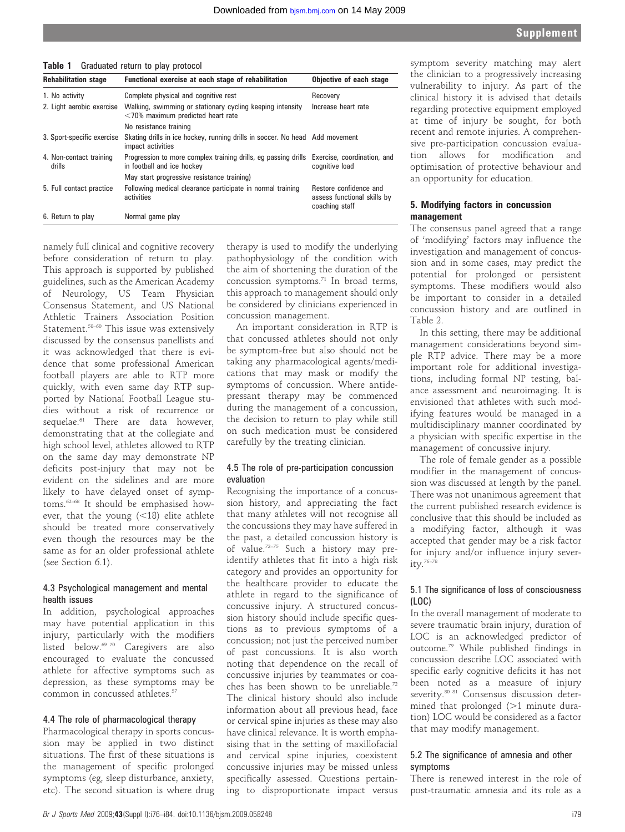| <b>Table 1</b> Graduated return to play protocol |                                                                                                                          |                                                                         |  |
|--------------------------------------------------|--------------------------------------------------------------------------------------------------------------------------|-------------------------------------------------------------------------|--|
| <b>Rehabilitation stage</b>                      | Functional exercise at each stage of rehabilitation                                                                      | Objective of each stage                                                 |  |
| 1. No activity                                   | Complete physical and cognitive rest                                                                                     | Recovery                                                                |  |
| 2. Light aerobic exercise                        | Walking, swimming or stationary cycling keeping intensity<br>$<$ 70% maximum predicted heart rate                        | Increase heart rate                                                     |  |
|                                                  | No resistance training                                                                                                   |                                                                         |  |
| 3. Sport-specific exercise                       | Skating drills in ice hockey, running drills in soccer. No head Add movement<br>impact activities                        |                                                                         |  |
| 4. Non-contact training<br>drills                | Progression to more complex training drills, eg passing drills Exercise, coordination, and<br>in football and ice hockey | cognitive load                                                          |  |
|                                                  | May start progressive resistance training)                                                                               |                                                                         |  |
| 5. Full contact practice                         | Following medical clearance participate in normal training<br>activities                                                 | Restore confidence and<br>assess functional skills by<br>coaching staff |  |
| 6. Return to play                                | Normal game play                                                                                                         |                                                                         |  |

namely full clinical and cognitive recovery before consideration of return to play. This approach is supported by published guidelines, such as the American Academy of Neurology, US Team Physician Consensus Statement, and US National Athletic Trainers Association Position Statement.<sup>58-60</sup> This issue was extensively discussed by the consensus panellists and it was acknowledged that there is evidence that some professional American football players are able to RTP more quickly, with even same day RTP supported by National Football League studies without a risk of recurrence or sequelae.<sup>61</sup> There are data however, demonstrating that at the collegiate and high school level, athletes allowed to RTP on the same day may demonstrate NP deficits post-injury that may not be evident on the sidelines and are more likely to have delayed onset of symptoms.62–68 It should be emphasised however, that the young  $(<18)$  elite athlete should be treated more conservatively even though the resources may be the same as for an older professional athlete (see Section 6.1).

# 4.3 Psychological management and mental health issues

In addition, psychological approaches may have potential application in this injury, particularly with the modifiers listed below.69 70 Caregivers are also encouraged to evaluate the concussed athlete for affective symptoms such as depression, as these symptoms may be common in concussed athletes.<sup>57</sup>

# 4.4 The role of pharmacological therapy

Pharmacological therapy in sports concussion may be applied in two distinct situations. The first of these situations is the management of specific prolonged symptoms (eg, sleep disturbance, anxiety, etc). The second situation is where drug

therapy is used to modify the underlying pathophysiology of the condition with the aim of shortening the duration of the concussion symptoms.71 In broad terms, this approach to management should only be considered by clinicians experienced in concussion management.

An important consideration in RTP is that concussed athletes should not only be symptom-free but also should not be taking any pharmacological agents/medications that may mask or modify the symptoms of concussion. Where antidepressant therapy may be commenced during the management of a concussion, the decision to return to play while still on such medication must be considered carefully by the treating clinician.

#### 4.5 The role of pre-participation concussion evaluation

Recognising the importance of a concussion history, and appreciating the fact that many athletes will not recognise all the concussions they may have suffered in the past, a detailed concussion history is of value.72–75 Such a history may preidentify athletes that fit into a high risk category and provides an opportunity for the healthcare provider to educate the athlete in regard to the significance of concussive injury. A structured concussion history should include specific questions as to previous symptoms of a concussion; not just the perceived number of past concussions. It is also worth noting that dependence on the recall of concussive injuries by teammates or coaches has been shown to be unreliable.72 The clinical history should also include information about all previous head, face or cervical spine injuries as these may also have clinical relevance. It is worth emphasising that in the setting of maxillofacial and cervical spine injuries, coexistent concussive injuries may be missed unless specifically assessed. Questions pertaining to disproportionate impact versus

symptom severity matching may alert the clinician to a progressively increasing vulnerability to injury. As part of the clinical history it is advised that details regarding protective equipment employed at time of injury be sought, for both recent and remote injuries. A comprehensive pre-participation concussion evaluation allows for modification and optimisation of protective behaviour and an opportunity for education.

# 5. Modifying factors in concussion management

The consensus panel agreed that a range of 'modifying' factors may influence the investigation and management of concussion and in some cases, may predict the potential for prolonged or persistent symptoms. These modifiers would also be important to consider in a detailed concussion history and are outlined in Table 2.

In this setting, there may be additional management considerations beyond simple RTP advice. There may be a more important role for additional investigations, including formal NP testing, balance assessment and neuroimaging. It is envisioned that athletes with such modifying features would be managed in a multidisciplinary manner coordinated by a physician with specific expertise in the management of concussive injury.

The role of female gender as a possible modifier in the management of concussion was discussed at length by the panel. There was not unanimous agreement that the current published research evidence is conclusive that this should be included as a modifying factor, although it was accepted that gender may be a risk factor for injury and/or influence injury severity.76–78

# 5.1 The significance of loss of consciousness (LOC)

In the overall management of moderate to severe traumatic brain injury, duration of LOC is an acknowledged predictor of outcome.79 While published findings in concussion describe LOC associated with specific early cognitive deficits it has not been noted as a measure of injury severity.<sup>80 81</sup> Consensus discussion determined that prolonged  $(>1$  minute duration) LOC would be considered as a factor that may modify management.

# 5.2 The significance of amnesia and other symptoms

There is renewed interest in the role of post-traumatic amnesia and its role as a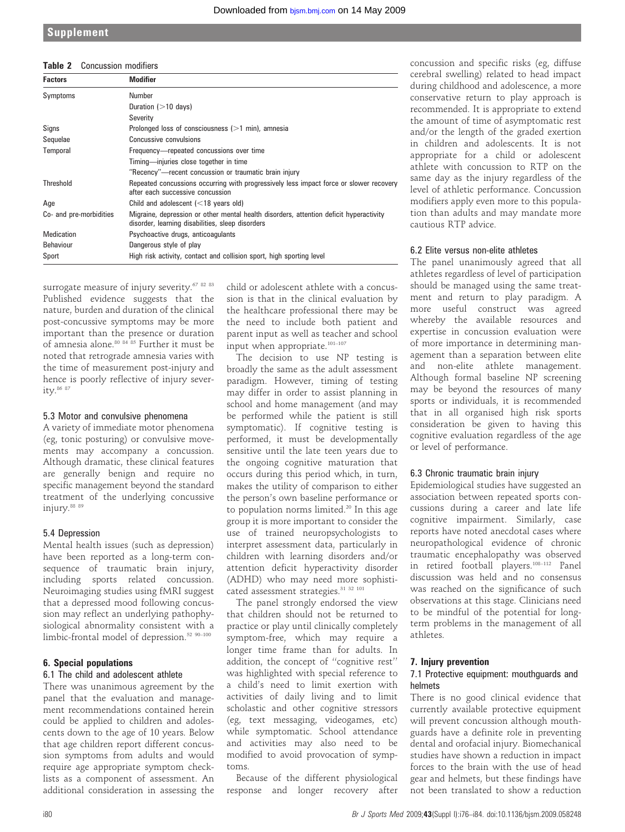#### Supplement

# Table 2 Concussion modifiers

| <b>Factors</b>          | <b>Modifier</b>                                                                                                                            |  |
|-------------------------|--------------------------------------------------------------------------------------------------------------------------------------------|--|
| Symptoms                | Number                                                                                                                                     |  |
|                         | Duration $(>10$ days)                                                                                                                      |  |
|                         | Severity                                                                                                                                   |  |
| Signs                   | Prolonged loss of consciousness $(>1$ min), amnesia                                                                                        |  |
| Sequelae                | Concussive convulsions                                                                                                                     |  |
| Temporal                | Frequency-repeated concussions over time                                                                                                   |  |
|                         | Timing—injuries close together in time                                                                                                     |  |
|                         | "Recency"—recent concussion or traumatic brain injury                                                                                      |  |
| Threshold               | Repeated concussions occurring with progressively less impact force or slower recovery<br>after each successive concussion                 |  |
| Age                     | Child and adolescent $(<18$ years old)                                                                                                     |  |
| Co- and pre-morbidities | Migraine, depression or other mental health disorders, attention deficit hyperactivity<br>disorder, learning disabilities, sleep disorders |  |
| Medication              | Psychoactive drugs, anticoagulants                                                                                                         |  |
| Behaviour               | Dangerous style of play                                                                                                                    |  |
| Sport                   | High risk activity, contact and collision sport, high sporting level                                                                       |  |

surrogate measure of injury severity.<sup>67 82 83</sup> Published evidence suggests that the nature, burden and duration of the clinical post-concussive symptoms may be more important than the presence or duration of amnesia alone.80 84 85 Further it must be noted that retrograde amnesia varies with the time of measurement post-injury and hence is poorly reflective of injury severity. 86 87

#### 5.3 Motor and convulsive phenomena

A variety of immediate motor phenomena (eg, tonic posturing) or convulsive movements may accompany a concussion. Although dramatic, these clinical features are generally benign and require no specific management beyond the standard treatment of the underlying concussive injury.<sup>88 89</sup>

#### 5.4 Depression

Mental health issues (such as depression) have been reported as a long-term consequence of traumatic brain injury, including sports related concussion. Neuroimaging studies using fMRI suggest that a depressed mood following concussion may reflect an underlying pathophysiological abnormality consistent with a limbic-frontal model of depression.<sup>52 90-100</sup>

#### 6. Special populations

#### 6.1 The child and adolescent athlete

There was unanimous agreement by the panel that the evaluation and management recommendations contained herein could be applied to children and adolescents down to the age of 10 years. Below that age children report different concussion symptoms from adults and would require age appropriate symptom checklists as a component of assessment. An additional consideration in assessing the child or adolescent athlete with a concussion is that in the clinical evaluation by the healthcare professional there may be the need to include both patient and parent input as well as teacher and school input when appropriate.<sup>101-107</sup>

The decision to use NP testing is broadly the same as the adult assessment paradigm. However, timing of testing may differ in order to assist planning in school and home management (and may be performed while the patient is still symptomatic). If cognitive testing is performed, it must be developmentally sensitive until the late teen years due to the ongoing cognitive maturation that occurs during this period which, in turn, makes the utility of comparison to either the person's own baseline performance or to population norms limited.<sup>20</sup> In this age group it is more important to consider the use of trained neuropsychologists to interpret assessment data, particularly in children with learning disorders and/or attention deficit hyperactivity disorder (ADHD) who may need more sophisticated assessment strategies.<sup>31 32 101</sup>

The panel strongly endorsed the view that children should not be returned to practice or play until clinically completely symptom-free, which may require a longer time frame than for adults. In addition, the concept of ''cognitive rest'' was highlighted with special reference to a child's need to limit exertion with activities of daily living and to limit scholastic and other cognitive stressors (eg, text messaging, videogames, etc) while symptomatic. School attendance and activities may also need to be modified to avoid provocation of symptoms.

Because of the different physiological response and longer recovery after concussion and specific risks (eg, diffuse cerebral swelling) related to head impact during childhood and adolescence, a more conservative return to play approach is recommended. It is appropriate to extend the amount of time of asymptomatic rest and/or the length of the graded exertion in children and adolescents. It is not appropriate for a child or adolescent athlete with concussion to RTP on the same day as the injury regardless of the level of athletic performance. Concussion modifiers apply even more to this population than adults and may mandate more cautious RTP advice.

#### 6.2 Elite versus non-elite athletes

The panel unanimously agreed that all athletes regardless of level of participation should be managed using the same treatment and return to play paradigm. A more useful construct was agreed whereby the available resources and expertise in concussion evaluation were of more importance in determining management than a separation between elite and non-elite athlete management. Although formal baseline NP screening may be beyond the resources of many sports or individuals, it is recommended that in all organised high risk sports consideration be given to having this cognitive evaluation regardless of the age or level of performance.

#### 6.3 Chronic traumatic brain injury

Epidemiological studies have suggested an association between repeated sports concussions during a career and late life cognitive impairment. Similarly, case reports have noted anecdotal cases where neuropathological evidence of chronic traumatic encephalopathy was observed in retired football players.<sup>108-112</sup> Panel discussion was held and no consensus was reached on the significance of such observations at this stage. Clinicians need to be mindful of the potential for longterm problems in the management of all athletes.

#### 7. Injury prevention

#### 7.1 Protective equipment: mouthguards and helmets

There is no good clinical evidence that currently available protective equipment will prevent concussion although mouthguards have a definite role in preventing dental and orofacial injury. Biomechanical studies have shown a reduction in impact forces to the brain with the use of head gear and helmets, but these findings have not been translated to show a reduction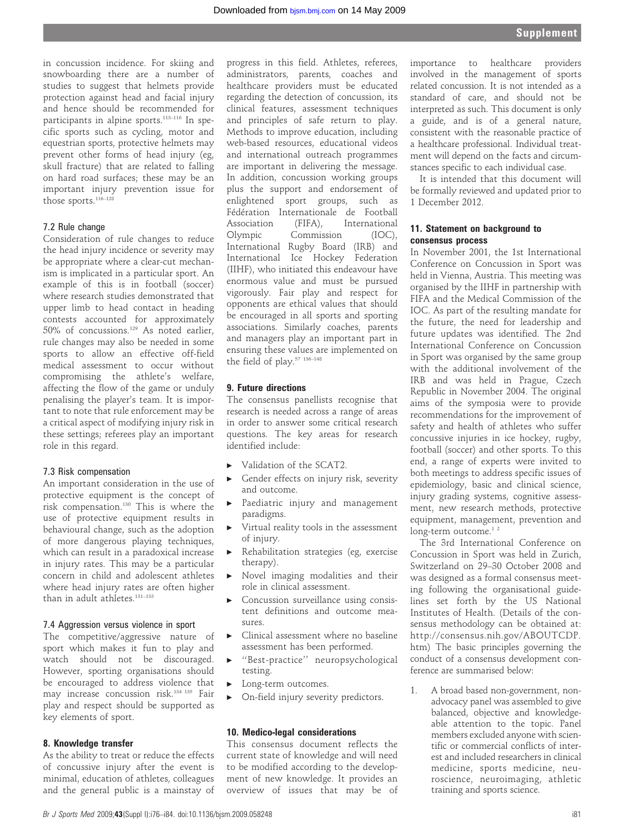in concussion incidence. For skiing and snowboarding there are a number of studies to suggest that helmets provide protection against head and facial injury and hence should be recommended for participants in alpine sports.<sup>113-116</sup> In specific sports such as cycling, motor and equestrian sports, protective helmets may prevent other forms of head injury (eg, skull fracture) that are related to falling on hard road surfaces; these may be an important injury prevention issue for those sports.<sup>116-128</sup>

#### 7.2 Rule change

Consideration of rule changes to reduce the head injury incidence or severity may be appropriate where a clear-cut mechanism is implicated in a particular sport. An example of this is in football (soccer) where research studies demonstrated that upper limb to head contact in heading contests accounted for approximately 50% of concussions.129 As noted earlier, rule changes may also be needed in some sports to allow an effective off-field medical assessment to occur without compromising the athlete's welfare, affecting the flow of the game or unduly penalising the player's team. It is important to note that rule enforcement may be a critical aspect of modifying injury risk in these settings; referees play an important role in this regard.

#### 7.3 Risk compensation

An important consideration in the use of protective equipment is the concept of risk compensation.130 This is where the use of protective equipment results in behavioural change, such as the adoption of more dangerous playing techniques, which can result in a paradoxical increase in injury rates. This may be a particular concern in child and adolescent athletes where head injury rates are often higher than in adult athletes.<sup>131-133</sup>

#### 7.4 Aggression versus violence in sport

The competitive/aggressive nature of sport which makes it fun to play and watch should not be discouraged. However, sporting organisations should be encouraged to address violence that may increase concussion risk.134 135 Fair play and respect should be supported as key elements of sport.

#### 8. Knowledge transfer

As the ability to treat or reduce the effects of concussive injury after the event is minimal, education of athletes, colleagues and the general public is a mainstay of

progress in this field. Athletes, referees, administrators, parents, coaches and healthcare providers must be educated regarding the detection of concussion, its clinical features, assessment techniques and principles of safe return to play. Methods to improve education, including web-based resources, educational videos and international outreach programmes are important in delivering the message. In addition, concussion working groups plus the support and endorsement of enlightened sport groups, such as Fédération Internationale de Football Association (FIFA), International Olympic Commission (IOC), International Rugby Board (IRB) and International Ice Hockey Federation (IIHF), who initiated this endeavour have enormous value and must be pursued vigorously. Fair play and respect for opponents are ethical values that should be encouraged in all sports and sporting associations. Similarly coaches, parents and managers play an important part in ensuring these values are implemented on the field of play.<sup>57 136-148</sup>

#### 9. Future directions

The consensus panellists recognise that research is needed across a range of areas in order to answer some critical research questions. The key areas for research identified include:

- Validation of the SCAT2.
- Gender effects on injury risk, severity and outcome.
- Paediatric injury and management paradigms.
- $\blacktriangleright$  Virtual reality tools in the assessment of injury.
- c Rehabilitation strategies (eg, exercise therapy).
- Novel imaging modalities and their role in clinical assessment.
- c Concussion surveillance using consistent definitions and outcome measures.
- $\blacktriangleright$  Clinical assessment where no baseline assessment has been performed.
- "Best-practice" neuropsychological testing.
- Long-term outcomes.
- On-field injury severity predictors.

#### 10. Medico-legal considerations

This consensus document reflects the current state of knowledge and will need to be modified according to the development of new knowledge. It provides an overview of issues that may be of

importance to healthcare providers involved in the management of sports related concussion. It is not intended as a standard of care, and should not be interpreted as such. This document is only a guide, and is of a general nature, consistent with the reasonable practice of a healthcare professional. Individual treatment will depend on the facts and circumstances specific to each individual case.

It is intended that this document will be formally reviewed and updated prior to 1 December 2012.

#### 11. Statement on background to consensus process

In November 2001, the 1st International Conference on Concussion in Sport was held in Vienna, Austria. This meeting was organised by the IIHF in partnership with FIFA and the Medical Commission of the IOC. As part of the resulting mandate for the future, the need for leadership and future updates was identified. The 2nd International Conference on Concussion in Sport was organised by the same group with the additional involvement of the IRB and was held in Prague, Czech Republic in November 2004. The original aims of the symposia were to provide recommendations for the improvement of safety and health of athletes who suffer concussive injuries in ice hockey, rugby, football (soccer) and other sports. To this end, a range of experts were invited to both meetings to address specific issues of epidemiology, basic and clinical science, injury grading systems, cognitive assessment, new research methods, protective equipment, management, prevention and long-term outcome.<sup>12</sup>

The 3rd International Conference on Concussion in Sport was held in Zurich, Switzerland on 29–30 October 2008 and was designed as a formal consensus meeting following the organisational guidelines set forth by the US National Institutes of Health. (Details of the consensus methodology can be obtained at: http://consensus.nih.gov/ABOUTCDP. htm) The basic principles governing the conduct of a consensus development conference are summarised below:

1. A broad based non-government, nonadvocacy panel was assembled to give balanced, objective and knowledgeable attention to the topic. Panel members excluded anyone with scientific or commercial conflicts of interest and included researchers in clinical medicine, sports medicine, neuroscience, neuroimaging, athletic training and sports science.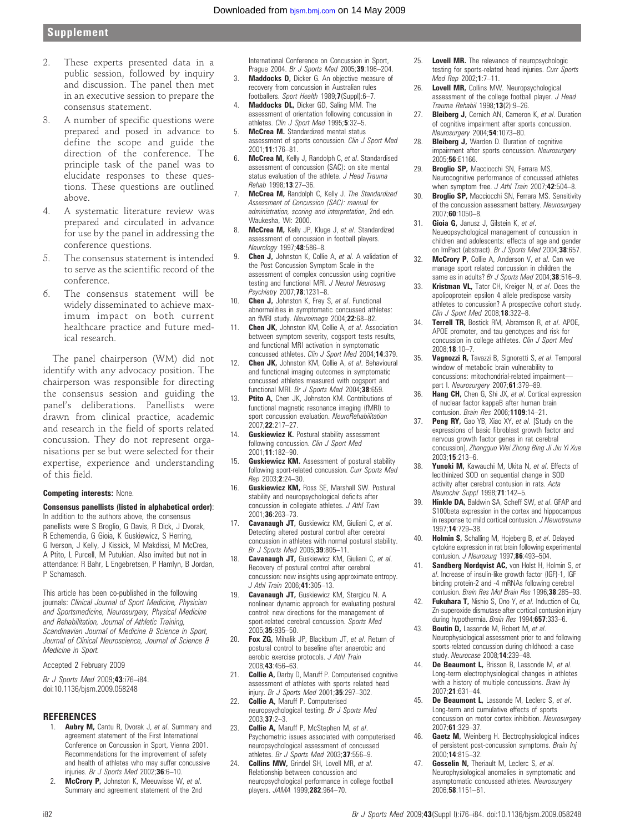# Supplement

- 2. These experts presented data in a public session, followed by inquiry and discussion. The panel then met in an executive session to prepare the consensus statement.
- 3. A number of specific questions were prepared and posed in advance to define the scope and guide the direction of the conference. The principle task of the panel was to elucidate responses to these questions. These questions are outlined above.
- 4. A systematic literature review was prepared and circulated in advance for use by the panel in addressing the conference questions.
- 5. The consensus statement is intended to serve as the scientific record of the conference.
- 6. The consensus statement will be widely disseminated to achieve maximum impact on both current healthcare practice and future medical research.

The panel chairperson (WM) did not identify with any advocacy position. The chairperson was responsible for directing the consensus session and guiding the panel's deliberations. Panellists were drawn from clinical practice, academic and research in the field of sports related concussion. They do not represent organisations per se but were selected for their expertise, experience and understanding of this field.

#### Competing interests: None.

#### Consensus panellists (listed in alphabetical order):

In addition to the authors above, the consensus panellists were S Broglio, G Davis, R Dick, J Dvorak, R Echemendia, G Gioia, K Guskiewicz, S Herring, G Iverson, J Kelly, J Kissick, M Makdissi, M McCrea, A Ptito, L Purcell, M Putukian. Also invited but not in attendance: R Bahr, L Engebretsen, P Hamlyn, B Jordan, P Schamasch.

This article has been co-published in the following journals: Clinical Journal of Sport Medicine, Physician and Sportsmedicine, Neurosurgery, Physical Medicine and Rehabilitation, Journal of Athletic Training, Scandinavian Journal of Medicine & Science in Sport, Journal of Clinical Neuroscience, Journal of Science & Medicine in Sport.

#### Accepted 2 February 2009

Br J Sports Med 2009;43:i76–i84. doi:10.1136/bjsm.2009.058248

#### REFERENCES

- 1. **Aubry M, Cantu R, Dvorak J, et al. Summary and** agreement statement of the First International Conference on Concussion in Sport, Vienna 2001. Recommendations for the improvement of safety and health of athletes who may suffer concussive injuries. Br J Sports Med 2002;36:6-10.
- 2. McCrory P, Johnston K, Meeuwisse W, et al. Summary and agreement statement of the 2nd

International Conference on Concussion in Sport, Prague 2004. Br J Sports Med 2005;39:196–204.

- 3. Maddocks D, Dicker G. An objective measure of recovery from concussion in Australian rules footballers. Sport Health 1989;7(Suppl):6-7. Maddocks DL, Dicker GD, Saling MM. The
- assessment of orientation following concussion in athletes. Clin J Sport Med 1995;5:32-5.
- 5. McCrea M. Standardized mental status assessment of sports concussion. Clin J Sport Med 2001;11:176–81.
- McCrea M, Kelly J, Randolph C, et al. Standardised assessment of concussion (SAC): on site mental status evaluation of the athlete. J Head Trauma Rehab 1998;13:27–36.
- 7. McCrea M, Randolph C, Kelly J. The Standardized Assessment of Concussion (SAC): manual for administration, scoring and interpretation, 2nd edn. Waukesha, WI: 2000.
- McCrea M, Kelly JP, Kluge J, et al. Standardized assessment of concussion in football players. Neurology 1997;48:586–8.
- 9. **Chen J,** Johnston K, Collie A, et al. A validation of the Post Concussion Symptom Scale in the assessment of complex concussion using cognitive testing and functional MRI. J Neurol Neurosurg Psychiatry 2007;78:1231–8.
- 10. Chen J, Johnston K, Frey S, et al. Functional abnormalities in symptomatic concussed athletes: an fMRI study. Neuroimage 2004;22:68–82.
- 11. **Chen JK,** Johnston KM, Collie A, et al. Association between symptom severity, cogsport tests results, and functional MRI activation in symptomatic concussed athletes. Clin J Sport Med 2004;14:379.
- Chen JK, Johnston KM, Collie A, et al. Behavioural and functional imaging outcomes in symptomatic concussed athletes measured with cogsport and functional MRI. Br J Sports Med 2004;38:659.
- 13. Ptito A, Chen JK, Johnston KM. Contributions of functional magnetic resonance imaging (fMRI) to sport concussion evaluation. NeuroRehabilitation 2007;22:217–27.
- 14. Guskiewicz K. Postural stability assessment following concussion. Clin J Sport Med 2001;11:182–90.
- 15. **Guskiewicz KM.** Assessment of postural stability following sport-related concussion. Curr Sports Med Rep 2003;2:24–30.
- 16. Guskiewicz KM, Ross SE, Marshall SW. Postural stability and neuropsychological deficits after concussion in collegiate athletes. J Athl Train 2001;36:263–73.
- 17. Cavanaugh JT, Guskiewicz KM, Giuliani C, et al. Detecting altered postural control after cerebral concussion in athletes with normal postural stability. Br J Sports Med 2005;39:805–11.
- 18. Cavanaugh JT, Guskiewicz KM, Giuliani C, et al. Recovery of postural control after cerebral concussion: new insights using approximate entropy. J Athl Train 2006;41:305–13.
- 19. **Cavanaugh JT, Guskiewicz KM, Stergiou N. A** nonlinear dynamic approach for evaluating postural control: new directions for the management of sport-related cerebral concussion. Sports Med 2005;35:935–50.
- 20. Fox ZG, Mihalik JP, Blackburn JT, et al. Return of postural control to baseline after anaerobic and aerobic exercise protocols. J Athl Train 2008;43:456–63.
- 21. **Collie A, Darby D, Maruff P. Computerised cognitive** assessment of athletes with sports related head injury. Br J Sports Med 2001;35:297-302.
- 22. **Collie A, Maruff P. Computerised** neuropsychological testing. Br J Sports Med 2003;37:2–3.
- 23. Collie A, Maruff P, McStephen M, et al. Psychometric issues associated with computerised neuropsychological assessment of concussed athletes. Br J Sports Med 2003;37:556–9.
- 24. **Collins MW,** Grindel SH, Lovell MR, et al. Relationship between concussion and neuropsychological performance in college football players. JAMA 1999;282:964–70.
- 25. Lovell MR. The relevance of neuropsychologic testing for sports-related head injuries. Curr Sports Med Rep 2002:1:7-11.
- 26. Lovell MR, Collins MW. Neuropsychological assessment of the college football player. J Head Trauma Rehabil 1998;13(2):9-26.
- 27. Bleiberg J, Cernich AN, Cameron K, et al. Duration of cognitive impairment after sports concussion. Neurosurgery 2004;54:1073–80.
- 28. **Bleiberg J,** Warden D. Duration of cognitive impairment after sports concussion. Neurosurgery 2005;56:E1166.
- 29. Broglio SP, Macciocchi SN, Ferrara MS. Neurocognitive performance of concussed athletes when symptom free. J Athl Train 2007;42:504-8.
- 30. Broglio SP, Macciocchi SN, Ferrara MS. Sensitivity of the concussion assessment battery. Neurosurgery 2007;60:1050–8.
- 31. Gioia G, Janusz J, Gilstein K, et al. Neueopsychological management of concussion in children and adolescents: effects of age and gender on ImPact (abstract). Br J Sports Med 2004:38:657.
- 32. **McCrory P**, Collie A, Anderson V, et al. Can we manage sport related concussion in children the same as in adults? Br J Sports Med 2004;38:516-9.
- 33. Kristman VL, Tator CH, Kreiger N, et al. Does the apolipoprotein epsilon 4 allele predispose varsity athletes to concussion? A prospective cohort study. Clin J Sport Med 2008;18:322-8.
- 34. **Terrell TR**, Bostick RM, Abramson R, et al. APOE APOE promoter, and tau genotypes and risk for concussion in college athletes. Clin J Sport Med 2008;18:10–7.
- 35. Vagnozzi R, Tavazzi B, Signoretti S, et al. Temporal window of metabolic brain vulnerability to concussions: mitochondrial-related impairment part I. Neurosurgery 2007;61:379-89.
- 36. **Hang CH,** Chen G, Shi JX, et al. Cortical expression of nuclear factor kappaB after human brain contusion. Brain Res 2006;1109:14–21.
- 37. Peng RY, Gao YB, Xiao XY, et al. [Study on the expressions of basic fibroblast growth factor and nervous growth factor genes in rat cerebral concussion]. Zhongguo Wei Zhong Bing Ji Jiu Yi Xue 2003;15:213–6.
- 38. Yunoki M, Kawauchi M, Ukita N, et al. Effects of lecithinized SOD on sequential change in SOD activity after cerebral contusion in rats. Acta Neurochir Suppl 1998;71:142–5.
- 39. Hinkle DA, Baldwin SA, Scheff SW, et al. GFAP and S100beta expression in the cortex and hippocampus in response to mild cortical contusion. J Neurotrauma 1997;14:729–38.
- 40. **Holmin S,** Schalling M, Hojeberg B, et al. Delayed cytokine expression in rat brain following experimental contusion. J Neurosurg 1997;86:493-504.
- 41. Sandberg Nordqvist AC, von Holst H, Holmin S, et al. Increase of insulin-like growth factor (IGF)-1, IGF binding protein-2 and -4 mRNAs following cerebral contusion. Brain Res Mol Brain Res 1996;38:285-93.
- 42. Fukuhara T, Nishio S, Ono Y, et al. Induction of Cu, Zn-superoxide dismutase after cortical contusion injury during hypothermia. Brain Res 1994;657:333-6.
- 43. Boutin D, Lassonde M, Robert M, et al. Neurophysiological assessment prior to and following sports-related concussion during childhood: a case study. Neurocase 2008;14:239–48.
- 44. De Beaumont L, Brisson B, Lassonde M, et al. Long-term electrophysiological changes in athletes with a history of multiple concussions. Brain Inj 2007;21:631–44.
- 45. De Beaumont L, Lassonde M, Leclerc S, et al. Long-term and cumulative effects of sports concussion on motor cortex inhibition. Neurosurgery 2007;61:329–37.
- 46. Gaetz M, Weinberg H. Electrophysiological indices of persistent post-concussion symptoms. Brain Inj 2000;14:815–32.
- 47. Gosselin N, Theriault M, Leclerc S, et al. Neurophysiological anomalies in symptomatic and asymptomatic concussed athletes. Neurosurgery 2006;58:1151–61.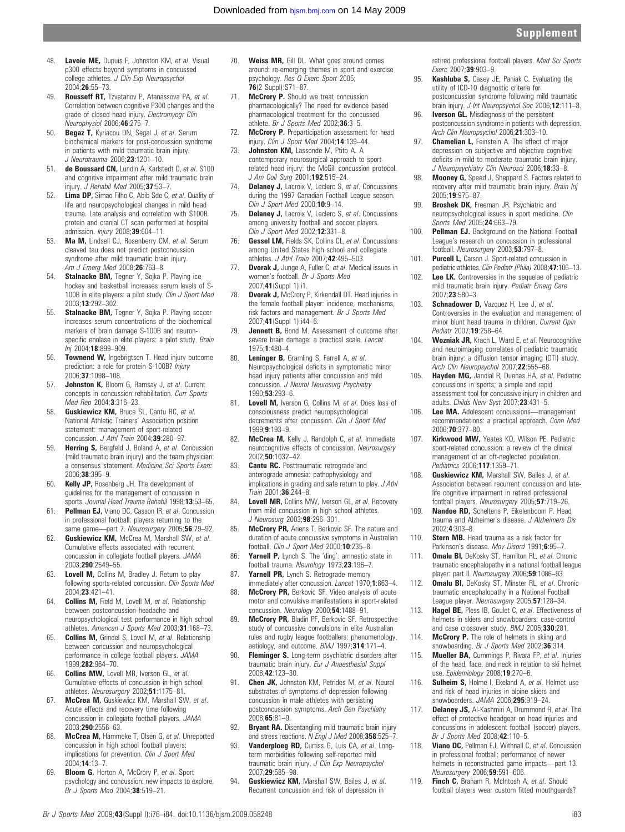- 48. Lavoie ME, Dupuis F, Johnston KM, et al. Visual p300 effects beyond symptoms in concussed college athletes. J Clin Exp Neuropsychol 2004;26:55–73.
- 49. Rousseff RT, Tzvetanov P, Atanassova PA, et al. Correlation between cognitive P300 changes and the grade of closed head injury. Electromyogr Clin Neurophysiol 2006;46:275–7.
- 50. Begaz T, Kyriacou DN, Segal J, et al. Serum biochemical markers for post-concussion syndrome in patients with mild traumatic brain injury. J Neurotrauma 2006;23:1201–10.
- 51. de Boussard CN, Lundin A, Karlstedt D, et al. S100 and cognitive impairment after mild traumatic brain iniury. J Rehabil Med 2005; 37:53-7.
- 52. Lima DP, Simao Filho C, Abib Sde C, et al. Quality of life and neuropsychological changes in mild head trauma. Late analysis and correlation with S100B protein and cranial CT scan performed at hospital admission. Injury 2008;39:604–11.
- 53. Ma M, Lindsell CJ, Rosenberry CM, et al. Serum cleaved tau does not predict postconcussion syndrome after mild traumatic brain injury. Am J Emerg Med 2008;26:763-8.
- 54. Stalnacke BM, Tegner Y, Sojka P. Playing ice hockey and basketball increases serum levels of S-100B in elite players: a pilot study. Clin J Sport Med 2003;13:292–302.
- 55. Stalnacke BM, Tegner Y, Sojka P. Playing soccer increases serum concentrations of the biochemical markers of brain damage S-100B and neuronspecific enolase in elite players: a pilot study. Brain Inj 2004;18:899–909.
- 56. **Townend W, Ingebrigtsen T. Head injury outcome** prediction: a role for protein S-100B? *Injury* 2006;37:1098–108.
- 57. Johnston K, Bloom G, Ramsay J, et al. Current concepts in concussion rehabilitation. Curr Sports Med Rep 2004;3:316-23.
- 58. Guskiewicz KM, Bruce SL, Cantu RC, et al. National Athletic Trainers' Association position statement: management of sport-related concussion. J Athl Train 2004;39:280-97.
- 59. Herring S, Bergfeld J, Boland A, et al. Concussion (mild traumatic brain injury) and the team physician: a consensus statement. Medicine Sci Sports Exerc 2006;38:395–9.
- 60. Kelly JP, Rosenberg JH. The development of guidelines for the management of concussion in sports. Journal Head Trauma Rehabil 1998;13:53-65.
- 61. Pellman EJ, Viano DC, Casson IR, et al. Concussion in professional football: players returning to the same game-part 7. Neurosurgery 2005;56:79-92.
- 62. Guskiewicz KM, McCrea M, Marshall SW, et al. Cumulative effects associated with recurrent concussion in collegiate football players. JAMA 2003;290:2549–55.
- 63. Lovell M, Collins M, Bradley J. Return to play following sports-related concussion. Clin Sports Med 2004;23:421–41.
- 64. Collins M, Field M, Lovell M, et al. Relationship between postconcussion headache and neuropsychological test performance in high school athletes. American J Sports Med 2003;31:168-73.
- Collins M, Grindel S, Lovell M, et al. Relationship between concussion and neuropsychological performance in college football players. JAMA 1999;282:964–70.
- 66. Collins MW, Lovell MR, Iverson GL, et al. Cumulative effects of concussion in high school athletes. Neurosurgery 2002;51:1175–81.
- 67. McCrea M, Guskiewicz KM, Marshall SW, et al. Acute effects and recovery time following concussion in collegiate football players. JAMA 2003;290:2556–63.
- 68. McCrea M, Hammeke T, Olsen G, et al. Unreported concussion in high school football players: implications for prevention. Clin J Sport Med 2004;14:13–7.
- 69. Bloom G, Horton A, McCrory P, et al. Sport psychology and concussion: new impacts to explore. Br J Sports Med 2004;38:519–21.
- 70. Weiss MR, Gill DL. What goes around comes around: re-emerging themes in sport and exercise psychology. Res Q Exerc Sport 2005; 76(2 Suppl):S71–87.
- 71. **McCrory P.** Should we treat concussion pharmacologically? The need for evidence based pharmacological treatment for the concussed athlete. Br  $\tilde{J}$  Sports Med 2002:36:3-5.
- 72. McCrory P. Preparticipation assessment for head injury. Clin J Sport Med 2004;14:139-44.
- 73. Johnston KM, Lassonde M, Ptito A. A contemporary neurosurgical approach to sportrelated head injury: the McGill concussion protocol. J Am Coll Surg 2001;192:515-24.
- 74. **Delaney J,** Lacroix V, Leclerc S, et al. Concussions during the 1997 Canadian Football League season. Clin  $J$  Sport Med 2000;10:9-14.
- 75. **Delaney J,** Lacroix V, Leclerc S, et al. Concussions among university football and soccer players. Clin J Sport Med 2002;12:331-8.
- Gessel LM, Fields SK, Collins CL, et al. Concussions among United States high school and collegiate athletes. J Athl Train 2007;42:495–503.
- 77. **Dvorak J,** Junge A, Fuller C, et al. Medical issues in women's football. Br J Sports Med 2007;41(Suppl 1):i1.
- 78. **Dvorak J, McCrory P, Kirkendall DT. Head injuries in** the female football player: incidence, mechanisms, risk factors and management. Br J Sports Med 2007;41(Suppl 1):i44–6.
- 79. **Jennett B.** Bond M. Assessment of outcome after severe brain damage: a practical scale. Lancet 1975;1:480–4.
- Leninger B, Gramling S, Farrell A, et al. Neuropsychological deficits in symptomatic minor head injury patients after concussion and mild concussion. J Neurol Neurosurg Psychiatry 1990;53:293–6.
- 81. Lovell M, Iverson G, Collins M, et al. Does loss of consciousness predict neuropsychological decrements after concussion. Clin J Sport Med 1999;9:193–9.
- 82. McCrea M, Kelly J, Randolph C, et al. Immediate neurocognitive effects of concussion. Neurosurgery 2002;50:1032–42.
- 83. **Cantu RC.** Posttraumatic retrograde and anterograde amnesia: pathophysiology and implications in grading and safe return to play. J Athl Train 2001;36:244–8.
- 84. Lovell MR, Collins MW, Iverson GL, et al. Recovery from mild concussion in high school athletes. J Neurosurg 2003;98:296–301.
- 85. McCrory PR, Ariens T, Berkovic SF. The nature and duration of acute concussive symptoms in Australian football. Clin J Sport Med 2000;10:235-8.
- 86. **Yarnell P,** Lynch S. The 'ding': amnestic state in football trauma. Neurology 1973;23:196–7.
- Yarnell PR, Lynch S. Retrograde memory immediately after concussion. Lancet 1970;1:863–4.
- 88. McCrory PR, Berkovic SF. Video analysis of acute motor and convulsive manifestations in sport-related concussion. Neurology 2000;54:1488-91.
- 89. McCrory PR, Bladin PF, Berkovic SF. Retrospective study of concussive convulsions in elite Australian rules and rugby league footballers: phenomenology, aetiology, and outcome. BMJ 1997;314:171-4.
- 90. Fleminger S. Long-term psychiatric disorders after traumatic brain injury. Eur J Anaesthesiol Suppl 2008;42:123–30.
- 91. Chen JK, Johnston KM, Petrides M, et al. Neural substrates of symptoms of depression following concussion in male athletes with persisting postconcussion symptoms. Arch Gen Psychiatry 2008;65:81–9.
- 92. Bryant RA. Disentangling mild traumatic brain injury and stress reactions. N Engl J Med 2008;358:525-7.
- 93. Vanderploeg RD, Curtiss G, Luis CA, et al. Longterm morbidities following self-reported mild traumatic brain injury. J Clin Exp Neuropsychol 2007;29:585–98.
- 94. Guskiewicz KM, Marshall SW, Bailes J, et al. Recurrent concussion and risk of depression in

retired professional football players. Med Sci Sports Exerc 2007;39:903–9.

- 95. **Kashluba S,** Casey JE, Paniak C. Evaluating the utility of ICD-10 diagnostic criteria for postconcussion syndrome following mild traumatic brain injury. J Int Neuropsychol Soc 2006;12:111-8.
- 96. **Iverson GL.** Misdiagnosis of the persistent postconcussion syndrome in patients with depression. Arch Clin Neuropsychol 2006;21:303-10.
- 97. **Chamelian L,** Feinstein A. The effect of major depression on subjective and objective cognitive deficits in mild to moderate traumatic brain injury. J Neuropsychiatry Clin Neurosci 2006;18:33–8.
- 98. Mooney G, Speed J, Sheppard S. Factors related to recovery after mild traumatic brain injury. Brain Inj 2005;19:975–87.
- 99. Broshek DK, Freeman JR. Psychiatric and neuropsychological issues in sport medicine. Clin Sports Med 2005;**24:**663-79.
- 100. Pellman EJ. Background on the National Football League's research on concussion in professional football. Neurosurgery 2003;53:797-8.
- 101. **Purcell L**, Carson J. Sport-related concussion in pediatric athletes. Clin Pediatr (Phila) 2008;47:106-13.
- 102. Lee LK. Controversies in the sequelae of pediatric mild traumatic brain injury. Pediatr Emerg Care 2007;23:580–3.
- 103. Schnadower D, Vazquez H, Lee J, et al. Controversies in the evaluation and management of minor blunt head trauma in children. Current Opin Pediatr 2007;19:258–64.
- 104. Wozniak JR, Krach L, Ward E, et al. Neurocognitive and neuroimaging correlates of pediatric traumatic brain injury: a diffusion tensor imaging (DTI) study. Arch Clin Neuropsychol 2007;22:555-68.
- 105. Hayden MG, Jandial R, Duenas HA, et al. Pediatric concussions in sports; a simple and rapid assessment tool for concussive injury in children and adults. Childs Nerv Syst 2007;23:431–5.
- 106. Lee MA. Adolescent concussions-management recommendations: a practical approach. Conn Med 2006;70:377–80.
- 107. Kirkwood MW, Yeates KO, Wilson PE. Pediatric sport-related concussion: a review of the clinical management of an oft-neglected population. Pediatrics 2006;117:1359-71.
- 108. **Guskiewicz KM, Marshall SW, Bailes J, et al.** Association between recurrent concussion and latelife cognitive impairment in retired professional football players. Neurosurgery 2005;57:719-26.
- 109. Nandoe RD, Scheltens P, Eikelenboom P, Head trauma and Alzheimer's disease. J Alzheimers Dis 2002;4:303–8.
- 110. Stern MB. Head trauma as a risk factor for Parkinson's disease. Mov Disord 1991:6:95-7.
- 111. Omalu BI, DeKosky ST, Hamilton RL, et al. Chronic traumatic encephalopathy in a national football league player: part II. Neurosurgery 2006;59:1086-93.
- 112. **Omalu BI,** DeKosky ST, Minster RL, et al. Chronic traumatic encephalopathy in a National Football League player. Neurosurgery 2005;57:128-34.
- 113. Hagel BE, Pless IB, Goulet C, et al. Effectiveness of helmets in skiers and snowboarders: case-control and case crossover study. BMJ 2005;330:281.
- 114. McCrory P. The role of helmets in skiing and snowboarding. Br J Sports Med 2002;36:314.
- 115. Mueller BA, Cummings P, Rivara FP, et al. Injuries of the head, face, and neck in relation to ski helmet use. Epidemiology 2008;19:270-6.
- 116. Sulheim S, Holme I, Ekeland A, et al. Helmet use and risk of head injuries in alpine skiers and snowboarders. JAMA 2006; 295:919-24.
- 117. **Delaney JS, Al-Kashmiri A, Drummond R, et al. The** effect of protective headgear on head injuries and concussions in adolescent football (soccer) players. Br J Sports Med 2008;42:110-5.
- 118. Viano DC, Pellman EJ, Withnall C, et al. Concussion in professional football: performance of newer helmets in reconstructed game impacts—part 13. Neurosurgery 2006;59:591–606.
- 119. Finch C, Braham R, McIntosh A, et al. Should football players wear custom fitted mouthguards?